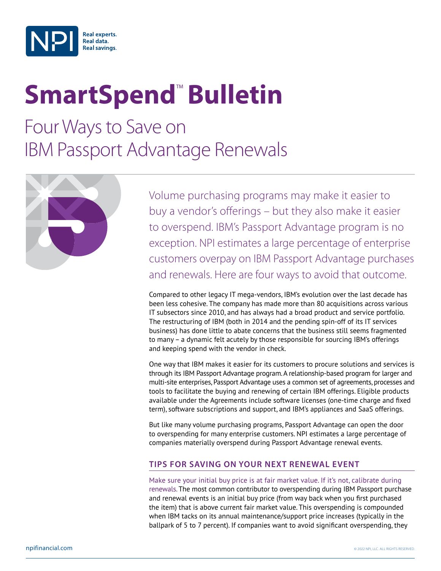

## **SmartSpend<sup>™</sup> Bulletin**

Four Ways to Save on IBM Passport Advantage Renewals



Volume purchasing programs may make it easier to buy a vendor's offerings – but they also make it easier to overspend. IBM's Passport Advantage program is no exception. NPI estimates a large percentage of enterprise customers overpay on IBM Passport Advantage purchases and renewals. Here are four ways to avoid that outcome.

Compared to other legacy IT mega-vendors, IBM's evolution over the last decade has been less cohesive. The company has made more than 80 acquisitions across various IT subsectors since 2010, and has always had a broad product and service portfolio. The restructuring of IBM (both in 2014 and the pending spin-off of its IT services business) has done little to abate concerns that the business still seems fragmented to many – a dynamic felt acutely by those responsible for sourcing IBM's offerings and keeping spend with the vendor in check.

One way that IBM makes it easier for its customers to procure solutions and services is through its IBM Passport Advantage program. A relationship-based program for larger and multi-site enterprises, Passport Advantage uses a common set of agreements, processes and tools to facilitate the buying and renewing of certain IBM offerings. Eligible products available under the Agreements include software licenses (one-time charge and fixed term), software subscriptions and support, and IBM's appliances and SaaS offerings.

But like many volume purchasing programs, Passport Advantage can open the door to overspending for many enterprise customers. NPI estimates a large percentage of companies materially overspend during Passport Advantage renewal events.

## **Tips for Saving on Your Next Renewal Event**

Make sure your initial buy price is at fair market value. If it's not, calibrate during renewals. The most common contributor to overspending during IBM Passport purchase and renewal events is an initial buy price (from way back when you first purchased the item) that is above current fair market value. This overspending is compounded when IBM tacks on its annual maintenance/support price increases (typically in the ballpark of 5 to 7 percent). If companies want to avoid significant overspending, they